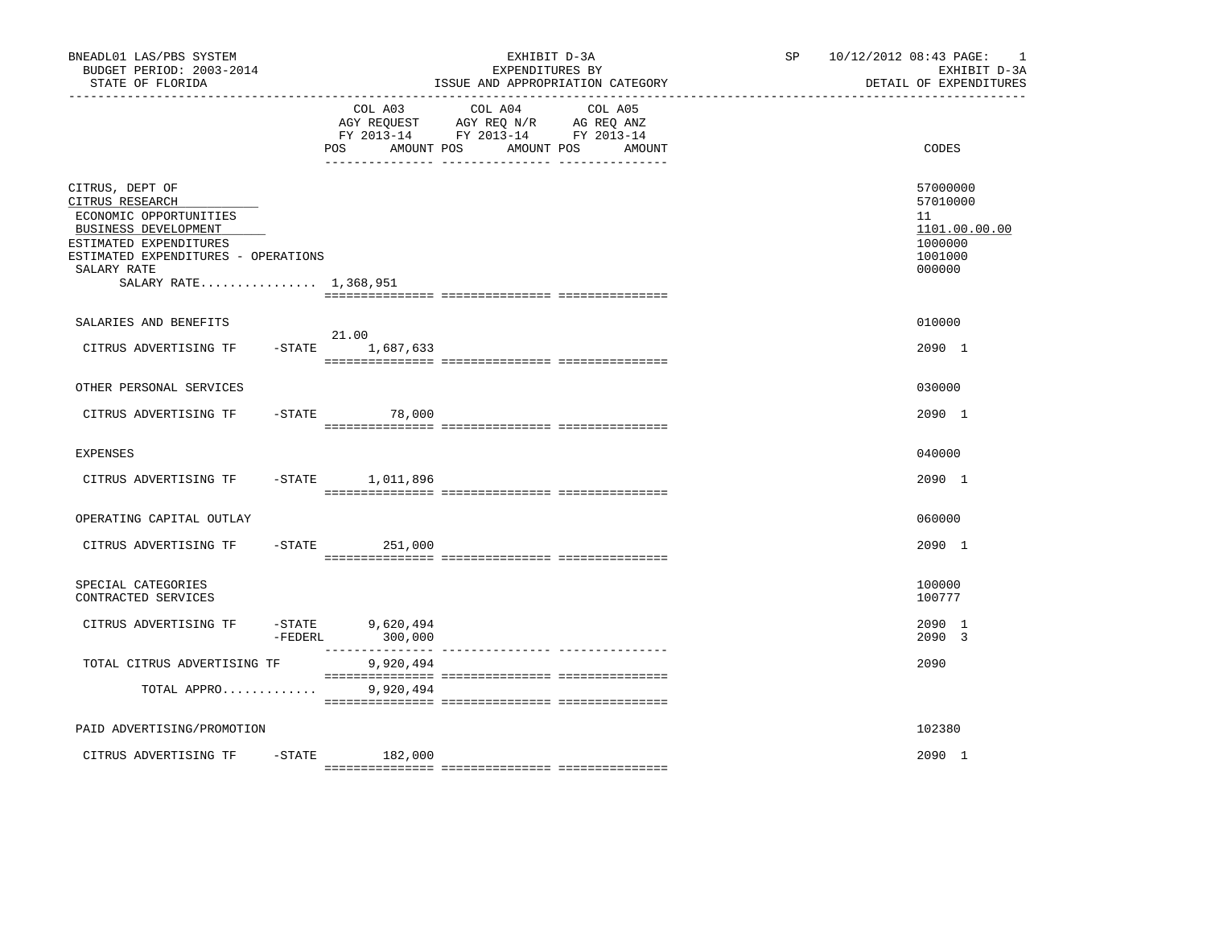| BNEADL01 LAS/PBS SYSTEM<br>BUDGET PERIOD: 2003-2014<br>STATE OF FLORIDA                                                                                                                       |            |                                | EXHIBIT D-3A<br>EXPENDITURES BY<br>ISSUE AND APPROPRIATION CATEGORY                                                  | SP <sub>2</sub> | 10/12/2012 08:43 PAGE:<br>$\overline{\phantom{0}}$<br>EXHIBIT D-3A<br>DETAIL OF EXPENDITURES |
|-----------------------------------------------------------------------------------------------------------------------------------------------------------------------------------------------|------------|--------------------------------|----------------------------------------------------------------------------------------------------------------------|-----------------|----------------------------------------------------------------------------------------------|
|                                                                                                                                                                                               |            | COL A03<br>POS<br>AMOUNT POS   | COL A04<br>COL A05<br>AGY REQUEST AGY REQ N/R AG REQ ANZ<br>FY 2013-14 FY 2013-14 FY 2013-14<br>AMOUNT POS<br>AMOUNT |                 | CODES                                                                                        |
| CITRUS, DEPT OF<br>CITRUS RESEARCH<br>ECONOMIC OPPORTUNITIES<br>BUSINESS DEVELOPMENT<br>ESTIMATED EXPENDITURES<br>ESTIMATED EXPENDITURES - OPERATIONS<br>SALARY RATE<br>SALARY RATE 1,368,951 |            |                                |                                                                                                                      |                 | 57000000<br>57010000<br>11<br>1101.00.00.00<br>1000000<br>1001000<br>000000                  |
| SALARIES AND BENEFITS<br>CITRUS ADVERTISING TF                                                                                                                                                |            | 21.00<br>$-STATE$ 1,687,633    |                                                                                                                      |                 | 010000<br>2090 1                                                                             |
| OTHER PERSONAL SERVICES                                                                                                                                                                       |            |                                |                                                                                                                      |                 | 030000                                                                                       |
| CITRUS ADVERTISING TF                                                                                                                                                                         |            | $-STATE$ 78,000                |                                                                                                                      |                 | 2090 1                                                                                       |
| <b>EXPENSES</b>                                                                                                                                                                               |            |                                |                                                                                                                      |                 | 040000                                                                                       |
| CITRUS ADVERTISING TF -STATE 1,011,896                                                                                                                                                        |            |                                |                                                                                                                      |                 | 2090 1                                                                                       |
| OPERATING CAPITAL OUTLAY                                                                                                                                                                      |            |                                |                                                                                                                      |                 | 060000                                                                                       |
| CITRUS ADVERTISING TF                                                                                                                                                                         |            | $-STATE$<br>251,000            |                                                                                                                      |                 | 2090 1                                                                                       |
| SPECIAL CATEGORIES<br>CONTRACTED SERVICES                                                                                                                                                     |            |                                |                                                                                                                      |                 | 100000<br>100777                                                                             |
| CITRUS ADVERTISING TF                                                                                                                                                                         | $-$ FEDERL | $-$ STATE 9,620,494<br>300,000 |                                                                                                                      |                 | 2090 1<br>2090 3                                                                             |
| TOTAL CITRUS ADVERTISING TF                                                                                                                                                                   |            | 9,920,494                      |                                                                                                                      |                 | 2090                                                                                         |
| TOTAL APPRO                                                                                                                                                                                   |            | 9,920,494                      |                                                                                                                      |                 |                                                                                              |
| PAID ADVERTISING/PROMOTION                                                                                                                                                                    |            |                                |                                                                                                                      |                 | 102380                                                                                       |
| CITRUS ADVERTISING TF                                                                                                                                                                         | $-$ STATE  | 182,000                        |                                                                                                                      |                 | 2090 1                                                                                       |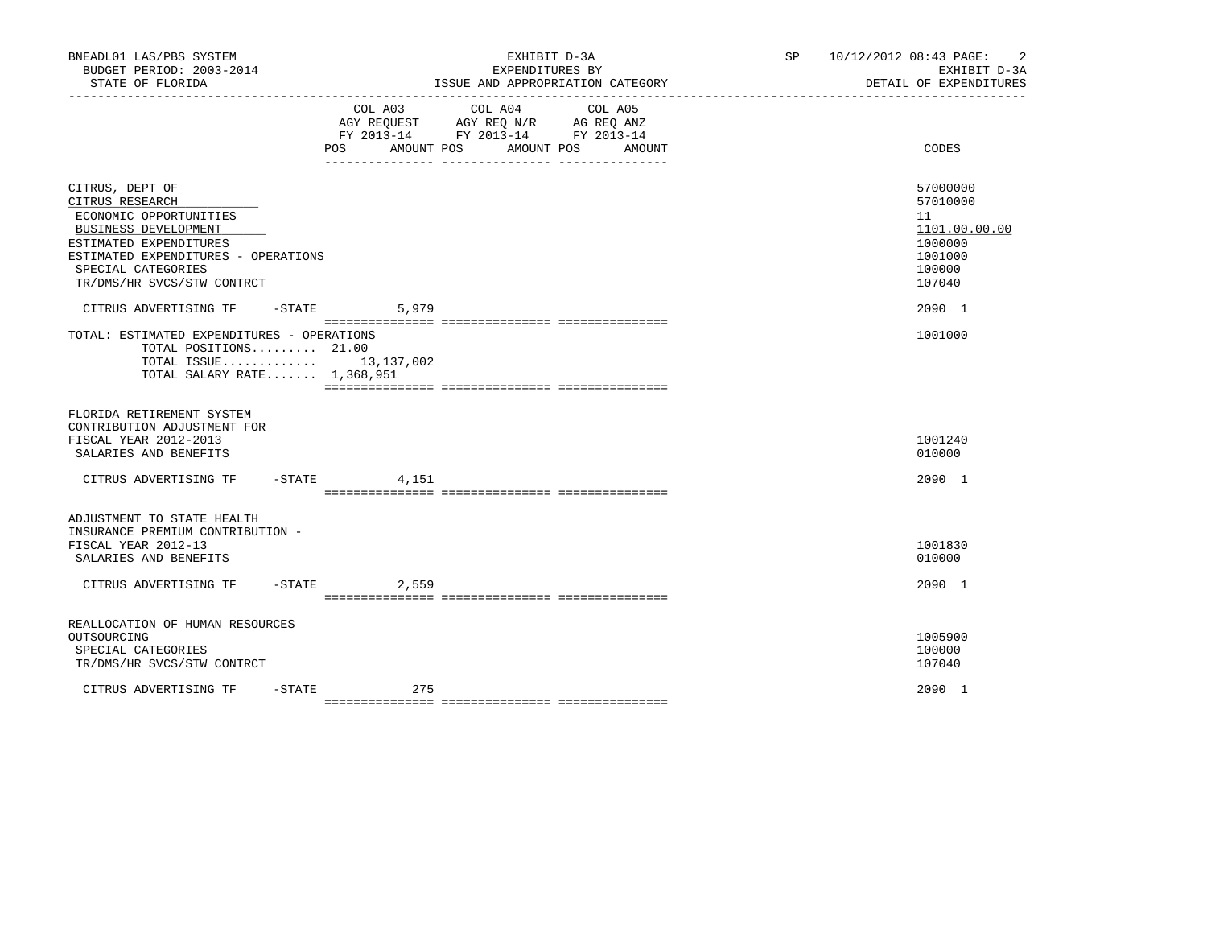| BNEADL01 LAS/PBS SYSTEM<br>BUDGET PERIOD: 2003-2014<br>STATE OF FLORIDA                                                                                                                                   |                              | EXHIBIT D-3A<br>EXPENDITURES BY<br>ISSUE AND APPROPRIATION CATEGORY<br>___________________________________           | SP 10/12/2012 08:43 PAGE:<br>$\overline{2}$<br>EXHIBIT D-3A<br>DETAIL OF EXPENDITURES |
|-----------------------------------------------------------------------------------------------------------------------------------------------------------------------------------------------------------|------------------------------|----------------------------------------------------------------------------------------------------------------------|---------------------------------------------------------------------------------------|
|                                                                                                                                                                                                           | COL A03<br>POS<br>AMOUNT POS | COL A04<br>COL A05<br>AGY REQUEST AGY REQ N/R AG REQ ANZ<br>FY 2013-14 FY 2013-14 FY 2013-14<br>AMOUNT POS<br>AMOUNT | CODES                                                                                 |
| CITRUS, DEPT OF<br>CITRUS RESEARCH<br>ECONOMIC OPPORTUNITIES<br>BUSINESS DEVELOPMENT<br>ESTIMATED EXPENDITURES<br>ESTIMATED EXPENDITURES - OPERATIONS<br>SPECIAL CATEGORIES<br>TR/DMS/HR SVCS/STW CONTRCT |                              |                                                                                                                      | 57000000<br>57010000<br>11<br>1101.00.00.00<br>1000000<br>1001000<br>100000<br>107040 |
| CITRUS ADVERTISING TF - STATE<br>TOTAL: ESTIMATED EXPENDITURES - OPERATIONS<br>TOTAL POSITIONS 21.00<br>TOTAL ISSUE 13,137,002<br>TOTAL SALARY RATE 1,368,951                                             | 5,979                        |                                                                                                                      | 2090 1<br>1001000                                                                     |
| FLORIDA RETIREMENT SYSTEM<br>CONTRIBUTION ADJUSTMENT FOR<br>FISCAL YEAR 2012-2013<br>SALARIES AND BENEFITS                                                                                                |                              |                                                                                                                      | 1001240<br>010000                                                                     |
| CITRUS ADVERTISING TF - STATE 4,151                                                                                                                                                                       |                              |                                                                                                                      | 2090 1                                                                                |
| ADJUSTMENT TO STATE HEALTH<br>INSURANCE PREMIUM CONTRIBUTION -<br>FISCAL YEAR 2012-13<br>SALARIES AND BENEFITS<br>CITRUS ADVERTISING TF - STATE                                                           | 2,559                        |                                                                                                                      | 1001830<br>010000<br>2090 1                                                           |
| REALLOCATION OF HUMAN RESOURCES<br>OUTSOURCING<br>SPECIAL CATEGORIES<br>TR/DMS/HR SVCS/STW CONTRCT                                                                                                        |                              |                                                                                                                      | 1005900<br>100000<br>107040                                                           |
| CITRUS ADVERTISING TF                                                                                                                                                                                     | $-STATE$<br>275              |                                                                                                                      | 2090 1                                                                                |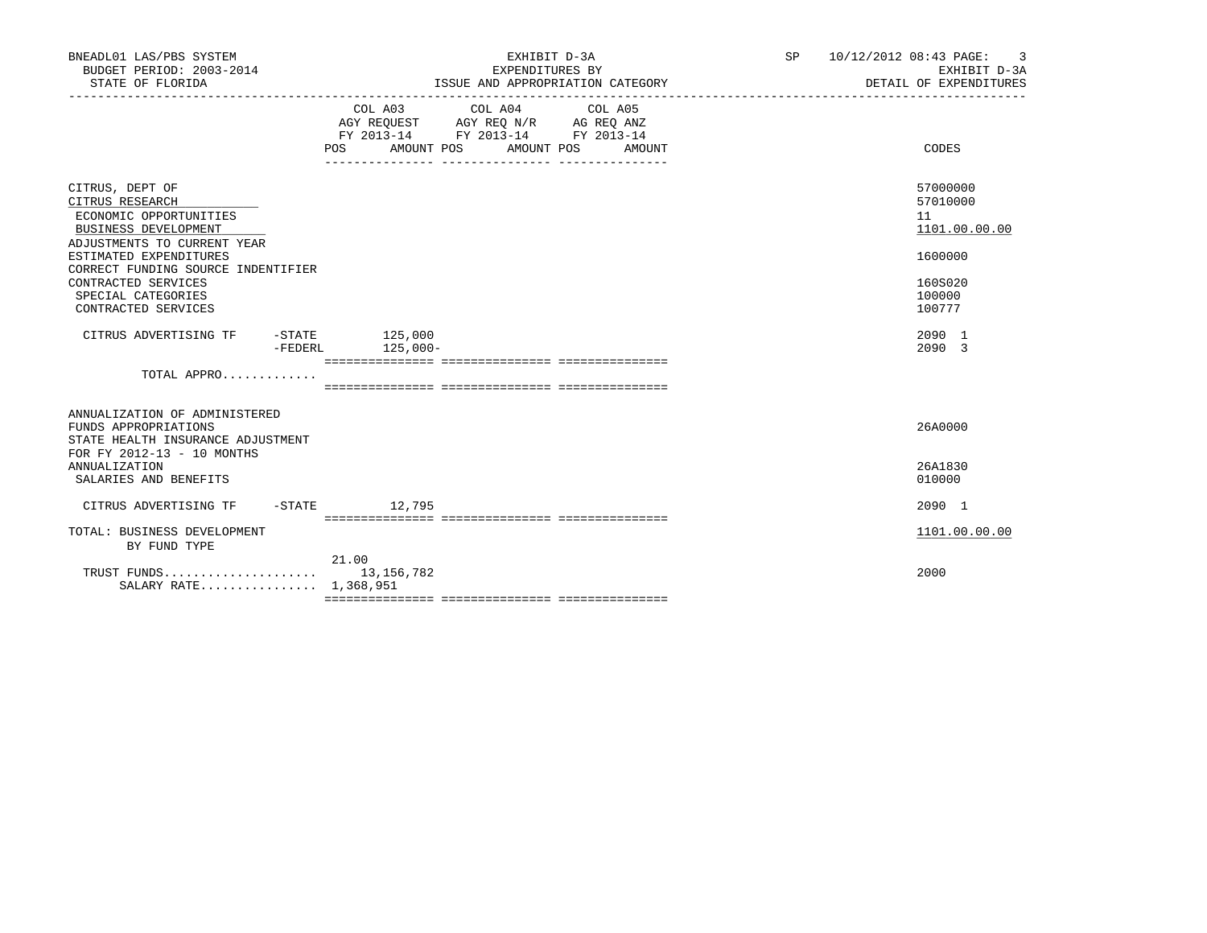| BNEADL01 LAS/PBS SYSTEM<br>BUDGET PERIOD: 2003-2014<br>STATE OF FLORIDA                                                          | EXHIBIT D-3A<br>EXPENDITURES BY<br>ISSUE AND APPROPRIATION CATEGORY                                                                                                                                                                                                                                                                                                                                                                                                         | SP 10/12/2012 08:43 PAGE: | 3<br>EXHIBIT D-3A<br>DETAIL OF EXPENDITURES |
|----------------------------------------------------------------------------------------------------------------------------------|-----------------------------------------------------------------------------------------------------------------------------------------------------------------------------------------------------------------------------------------------------------------------------------------------------------------------------------------------------------------------------------------------------------------------------------------------------------------------------|---------------------------|---------------------------------------------|
|                                                                                                                                  | $\begin{tabular}{lllllllllll} &\multicolumn{4}{c }{\text{COL A03}} &\multicolumn{4}{c }{\text{COL A04}} &\multicolumn{4}{c }{\text{COL A05}} \\ \multicolumn{4}{c }{\text{AGY REQUEST}} &\multicolumn{4}{c }{\text{AGY REQ}} &\multicolumn{4}{c }{\text{N/R}} &\multicolumn{4}{c }{\text{AG REQ ANZ}} \\ \multicolumn{4}{c }{\text{FGY REQJ13--14}} &\multicolumn{4}{c }{\text{FY 2013--14}} &\multicolumn{4}{c }{\text{FY 2013--14$<br>POS AMOUNT POS AMOUNT POS<br>AMOUNT |                           | CODES                                       |
| CITRUS, DEPT OF<br>CITRUS RESEARCH<br>ECONOMIC OPPORTUNITIES<br>BUSINESS DEVELOPMENT<br>ADJUSTMENTS TO CURRENT YEAR              |                                                                                                                                                                                                                                                                                                                                                                                                                                                                             |                           | 57000000<br>57010000<br>11<br>1101.00.00.00 |
| ESTIMATED EXPENDITURES<br>CORRECT FUNDING SOURCE INDENTIFIER<br>CONTRACTED SERVICES<br>SPECIAL CATEGORIES<br>CONTRACTED SERVICES |                                                                                                                                                                                                                                                                                                                                                                                                                                                                             |                           | 1600000<br>160S020<br>100000<br>100777      |
| CITRUS ADVERTISING TF -STATE 125,000                                                                                             | -FEDERL 125,000-                                                                                                                                                                                                                                                                                                                                                                                                                                                            |                           | 2090 1<br>2090 3                            |
| TOTAL APPRO                                                                                                                      |                                                                                                                                                                                                                                                                                                                                                                                                                                                                             |                           |                                             |
| ANNUALIZATION OF ADMINISTERED<br>FUNDS APPROPRIATIONS<br>STATE HEALTH INSURANCE ADJUSTMENT<br>FOR FY 2012-13 - 10 MONTHS         |                                                                                                                                                                                                                                                                                                                                                                                                                                                                             |                           | 26A0000                                     |
| ANNUALIZATION<br>SALARIES AND BENEFITS                                                                                           |                                                                                                                                                                                                                                                                                                                                                                                                                                                                             |                           | 26A1830<br>010000                           |
| CITRUS ADVERTISING TF                                                                                                            | -STATE 12,795                                                                                                                                                                                                                                                                                                                                                                                                                                                               |                           | 2090 1                                      |
| TOTAL: BUSINESS DEVELOPMENT<br>BY FUND TYPE                                                                                      |                                                                                                                                                                                                                                                                                                                                                                                                                                                                             |                           | 1101.00.00.00                               |
| SALARY RATE 1,368,951                                                                                                            | 21.00                                                                                                                                                                                                                                                                                                                                                                                                                                                                       |                           | 2000                                        |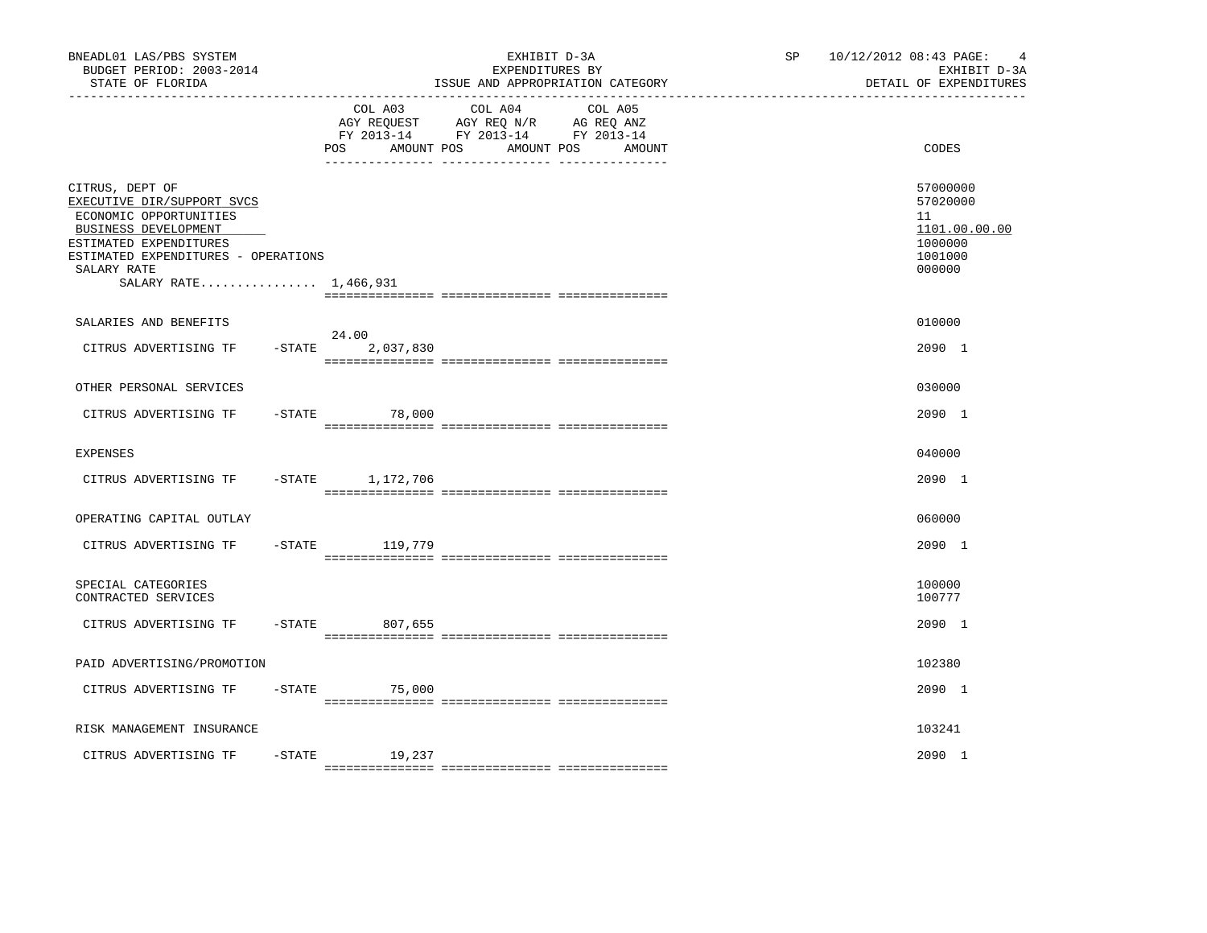| BNEADL01 LAS/PBS SYSTEM<br>BUDGET PERIOD: 2003-2014<br>STATE OF FLORIDA                                                                                                                                  |           | ____________________________________ | EXHIBIT D-3A<br>EXPENDITURES BY<br>ISSUE AND APPROPRIATION CATEGORY                                                  | SP <sub>2</sub> | 10/12/2012 08:43 PAGE:<br>$\overline{4}$<br>EXHIBIT D-3A<br>DETAIL OF EXPENDITURES |
|----------------------------------------------------------------------------------------------------------------------------------------------------------------------------------------------------------|-----------|--------------------------------------|----------------------------------------------------------------------------------------------------------------------|-----------------|------------------------------------------------------------------------------------|
|                                                                                                                                                                                                          |           | COL A03<br>POS<br>AMOUNT POS         | COL A04<br>COL A05<br>AGY REQUEST AGY REQ N/R AG REQ ANZ<br>FY 2013-14 FY 2013-14 FY 2013-14<br>AMOUNT POS<br>AMOUNT |                 | CODES                                                                              |
| CITRUS, DEPT OF<br>EXECUTIVE DIR/SUPPORT SVCS<br>ECONOMIC OPPORTUNITIES<br>BUSINESS DEVELOPMENT<br>ESTIMATED EXPENDITURES<br>ESTIMATED EXPENDITURES - OPERATIONS<br>SALARY RATE<br>SALARY RATE 1,466,931 |           |                                      |                                                                                                                      |                 | 57000000<br>57020000<br>11<br>1101.00.00.00<br>1000000<br>1001000<br>000000        |
| SALARIES AND BENEFITS<br>CITRUS ADVERTISING TF                                                                                                                                                           |           | 24.00<br>$-STATE$ 2,037,830          |                                                                                                                      |                 | 010000<br>2090 1                                                                   |
| OTHER PERSONAL SERVICES                                                                                                                                                                                  |           |                                      |                                                                                                                      |                 | 030000                                                                             |
| CITRUS ADVERTISING TF                                                                                                                                                                                    | $-$ STATE | 78,000                               |                                                                                                                      |                 | 2090 1                                                                             |
| <b>EXPENSES</b>                                                                                                                                                                                          |           |                                      |                                                                                                                      |                 | 040000                                                                             |
| CITRUS ADVERTISING TF - STATE 1,172,706                                                                                                                                                                  |           |                                      |                                                                                                                      |                 | 2090 1                                                                             |
| OPERATING CAPITAL OUTLAY                                                                                                                                                                                 |           |                                      |                                                                                                                      |                 | 060000                                                                             |
| CITRUS ADVERTISING TF                                                                                                                                                                                    |           | -STATE 119,779                       |                                                                                                                      |                 | 2090 1                                                                             |
| SPECIAL CATEGORIES<br>CONTRACTED SERVICES                                                                                                                                                                |           |                                      |                                                                                                                      |                 | 100000<br>100777                                                                   |
| CITRUS ADVERTISING TF                                                                                                                                                                                    |           | -STATE 807,655                       |                                                                                                                      |                 | 2090 1                                                                             |
| PAID ADVERTISING/PROMOTION                                                                                                                                                                               |           |                                      |                                                                                                                      |                 | 102380                                                                             |
| CITRUS ADVERTISING TF                                                                                                                                                                                    |           | $-$ STATE 75,000                     |                                                                                                                      |                 | 2090 1                                                                             |
| RISK MANAGEMENT INSURANCE                                                                                                                                                                                |           |                                      |                                                                                                                      |                 | 103241                                                                             |
| CITRUS ADVERTISING TF                                                                                                                                                                                    | $-$ STATE | 19,237                               |                                                                                                                      |                 | 2090 1                                                                             |
|                                                                                                                                                                                                          |           |                                      |                                                                                                                      |                 |                                                                                    |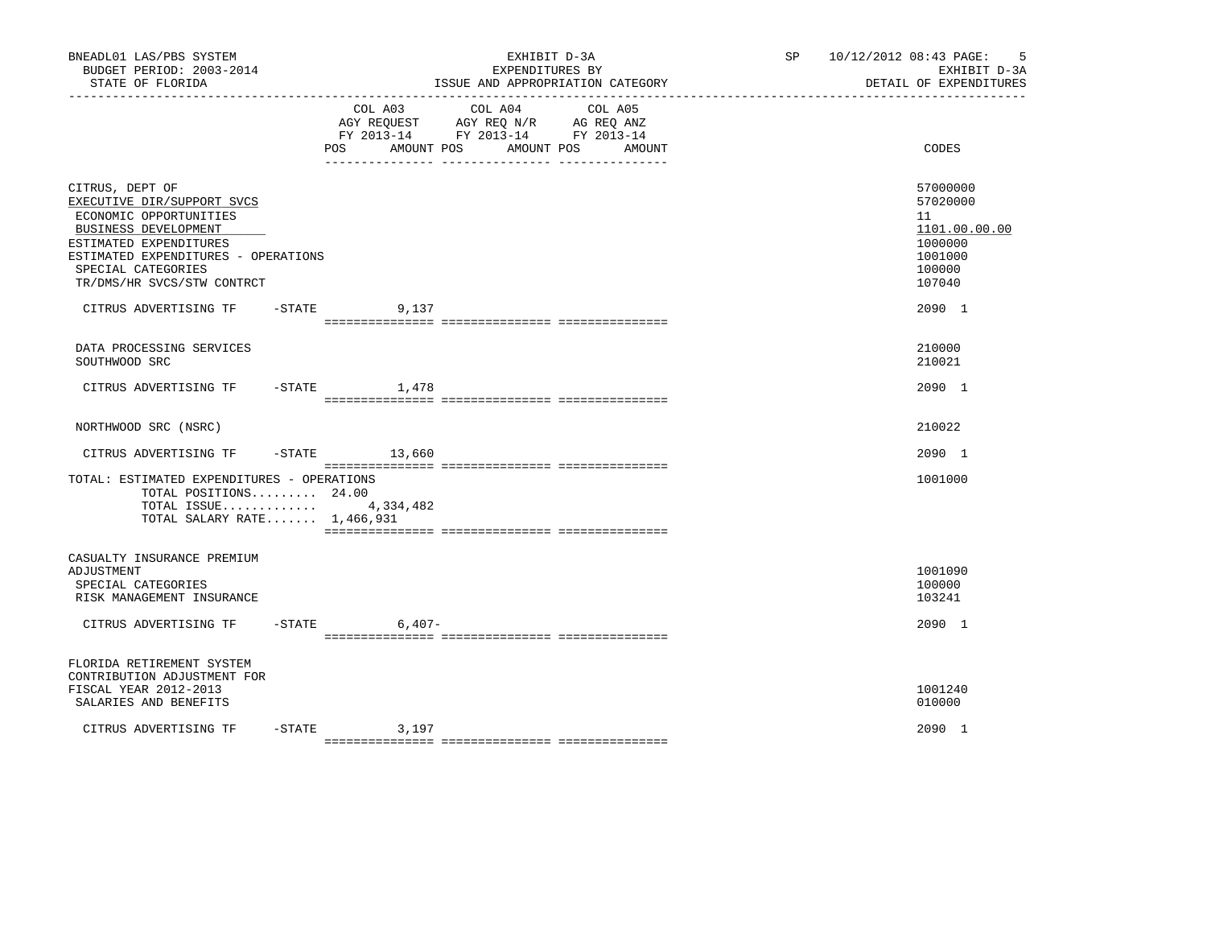| BNEADL01 LAS/PBS SYSTEM<br>BUDGET PERIOD: 2003-2014<br>STATE OF FLORIDA                                                                                                                                              |                      | EXHIBIT D-3A<br>EXPENDITURES BY                                                                         | ISSUE AND APPROPRIATION CATEGORY | 5<br>SP 10/12/2012 08:43 PAGE:<br>EXHIBIT D-3A<br>DETAIL OF EXPENDITURES              |
|----------------------------------------------------------------------------------------------------------------------------------------------------------------------------------------------------------------------|----------------------|---------------------------------------------------------------------------------------------------------|----------------------------------|---------------------------------------------------------------------------------------|
|                                                                                                                                                                                                                      | POS AMOUNT POS       | COL A03 COL A04<br>AGY REQUEST AGY REQ N/R AG REQ ANZ<br>FY 2013-14 FY 2013-14 FY 2013-14<br>AMOUNT POS | COL A05<br>AMOUNT                | CODES                                                                                 |
| CITRUS, DEPT OF<br>EXECUTIVE DIR/SUPPORT SVCS<br>ECONOMIC OPPORTUNITIES<br>BUSINESS DEVELOPMENT<br>ESTIMATED EXPENDITURES<br>ESTIMATED EXPENDITURES - OPERATIONS<br>SPECIAL CATEGORIES<br>TR/DMS/HR SVCS/STW CONTRCT |                      |                                                                                                         |                                  | 57000000<br>57020000<br>11<br>1101.00.00.00<br>1000000<br>1001000<br>100000<br>107040 |
| CITRUS ADVERTISING TF                                                                                                                                                                                                | $-STATE$<br>9,137    |                                                                                                         |                                  | 2090 1                                                                                |
| DATA PROCESSING SERVICES<br>SOUTHWOOD SRC                                                                                                                                                                            |                      |                                                                                                         |                                  | 210000<br>210021                                                                      |
| CITRUS ADVERTISING TF - STATE                                                                                                                                                                                        | 1,478                |                                                                                                         |                                  | 2090 1                                                                                |
| NORTHWOOD SRC (NSRC)                                                                                                                                                                                                 |                      |                                                                                                         |                                  | 210022                                                                                |
| CITRUS ADVERTISING TF                                                                                                                                                                                                | $-STATE$ 13,660      |                                                                                                         |                                  | 2090 1                                                                                |
| TOTAL: ESTIMATED EXPENDITURES - OPERATIONS<br>TOTAL POSITIONS 24.00<br>TOTAL ISSUE 4,334,482<br>TOTAL SALARY RATE $1,466,931$                                                                                        |                      |                                                                                                         |                                  | 1001000                                                                               |
| CASUALTY INSURANCE PREMIUM<br>ADJUSTMENT<br>SPECIAL CATEGORIES<br>RISK MANAGEMENT INSURANCE                                                                                                                          |                      |                                                                                                         |                                  | 1001090<br>100000<br>103241                                                           |
| CITRUS ADVERTISING TF                                                                                                                                                                                                | $-STATE$<br>$6,407-$ |                                                                                                         |                                  | 2090 1                                                                                |
| FLORIDA RETIREMENT SYSTEM<br>CONTRIBUTION ADJUSTMENT FOR<br>FISCAL YEAR 2012-2013<br>SALARIES AND BENEFITS                                                                                                           |                      |                                                                                                         |                                  | 1001240<br>010000                                                                     |
| CITRUS ADVERTISING TF                                                                                                                                                                                                | $-STATE$<br>3,197    |                                                                                                         |                                  | 2090 1                                                                                |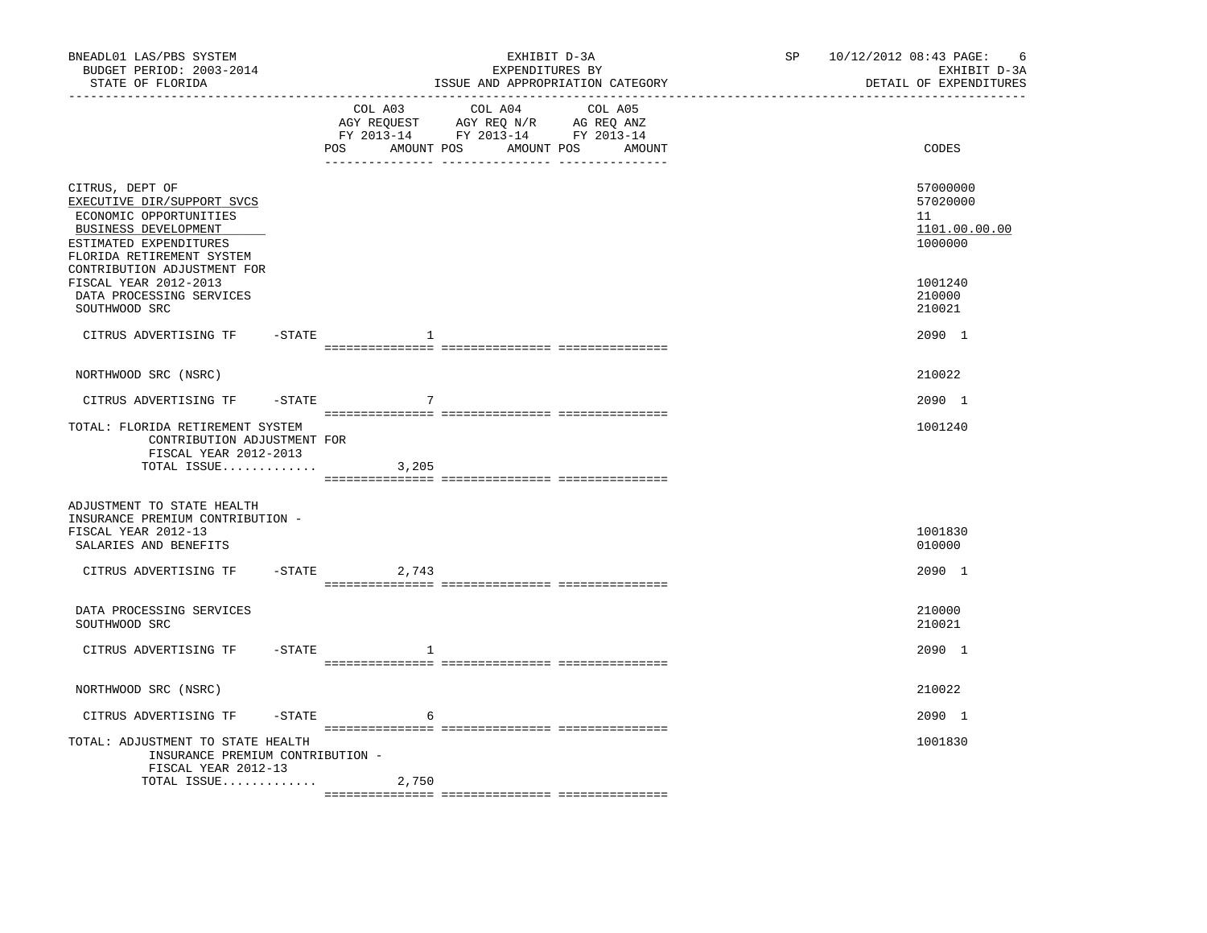| BNEADL01 LAS/PBS SYSTEM<br>BUDGET PERIOD: 2003-2014<br>STATE OF FLORIDA                                                                                                               |        |                | EXHIBIT D-3A<br>EXPENDITURES BY<br>ISSUE AND APPROPRIATION CATEGORY                                                                   | SP 10/12/2012 08:43 PAGE:<br>- 6<br>EXHIBIT D-3A<br>DETAIL OF EXPENDITURES |
|---------------------------------------------------------------------------------------------------------------------------------------------------------------------------------------|--------|----------------|---------------------------------------------------------------------------------------------------------------------------------------|----------------------------------------------------------------------------|
|                                                                                                                                                                                       |        |                | COL A03 COL A04 COL A05<br>AGY REQUEST AGY REQ N/R AG REQ ANZ<br>FY 2013-14 FY 2013-14 FY 2013-14<br>POS AMOUNT POS AMOUNT POS AMOUNT | CODES                                                                      |
| CITRUS, DEPT OF<br>EXECUTIVE DIR/SUPPORT SVCS<br>ECONOMIC OPPORTUNITIES<br>BUSINESS DEVELOPMENT<br>ESTIMATED EXPENDITURES<br>FLORIDA RETIREMENT SYSTEM<br>CONTRIBUTION ADJUSTMENT FOR |        |                |                                                                                                                                       | 57000000<br>57020000<br>11<br>1101.00.00.00<br>1000000                     |
| FISCAL YEAR 2012-2013<br>DATA PROCESSING SERVICES<br>SOUTHWOOD SRC                                                                                                                    |        |                |                                                                                                                                       | 1001240<br>210000<br>210021                                                |
| CITRUS ADVERTISING TF - STATE                                                                                                                                                         |        | $\mathbf{1}$   |                                                                                                                                       | 2090 1                                                                     |
| NORTHWOOD SRC (NSRC)                                                                                                                                                                  |        |                |                                                                                                                                       | 210022                                                                     |
| CITRUS ADVERTISING TF - STATE                                                                                                                                                         |        | 7              |                                                                                                                                       | 2090 1                                                                     |
| TOTAL: FLORIDA RETIREMENT SYSTEM<br>CONTRIBUTION ADJUSTMENT FOR<br>FISCAL YEAR 2012-2013<br>TOTAL ISSUE                                                                               |        | 3,205          |                                                                                                                                       | 1001240                                                                    |
| ADJUSTMENT TO STATE HEALTH<br>INSURANCE PREMIUM CONTRIBUTION -<br>FISCAL YEAR 2012-13<br>SALARIES AND BENEFITS                                                                        |        |                |                                                                                                                                       | 1001830<br>010000                                                          |
| CITRUS ADVERTISING TF                                                                                                                                                                 |        | $-STATE$ 2,743 |                                                                                                                                       | 2090 1                                                                     |
| DATA PROCESSING SERVICES<br>SOUTHWOOD SRC                                                                                                                                             |        |                |                                                                                                                                       | 210000<br>210021                                                           |
| CITRUS ADVERTISING TF                                                                                                                                                                 | -STATE | -1             |                                                                                                                                       | 2090 1                                                                     |
| NORTHWOOD SRC (NSRC)                                                                                                                                                                  |        |                |                                                                                                                                       | 210022                                                                     |
| CITRUS ADVERTISING TF                                                                                                                                                                 | -STATE | 6              |                                                                                                                                       | 2090 1                                                                     |
| TOTAL: ADJUSTMENT TO STATE HEALTH<br>INSURANCE PREMIUM CONTRIBUTION -<br>FISCAL YEAR 2012-13                                                                                          |        |                |                                                                                                                                       | 1001830                                                                    |
| TOTAL ISSUE                                                                                                                                                                           |        | 2,750          |                                                                                                                                       |                                                                            |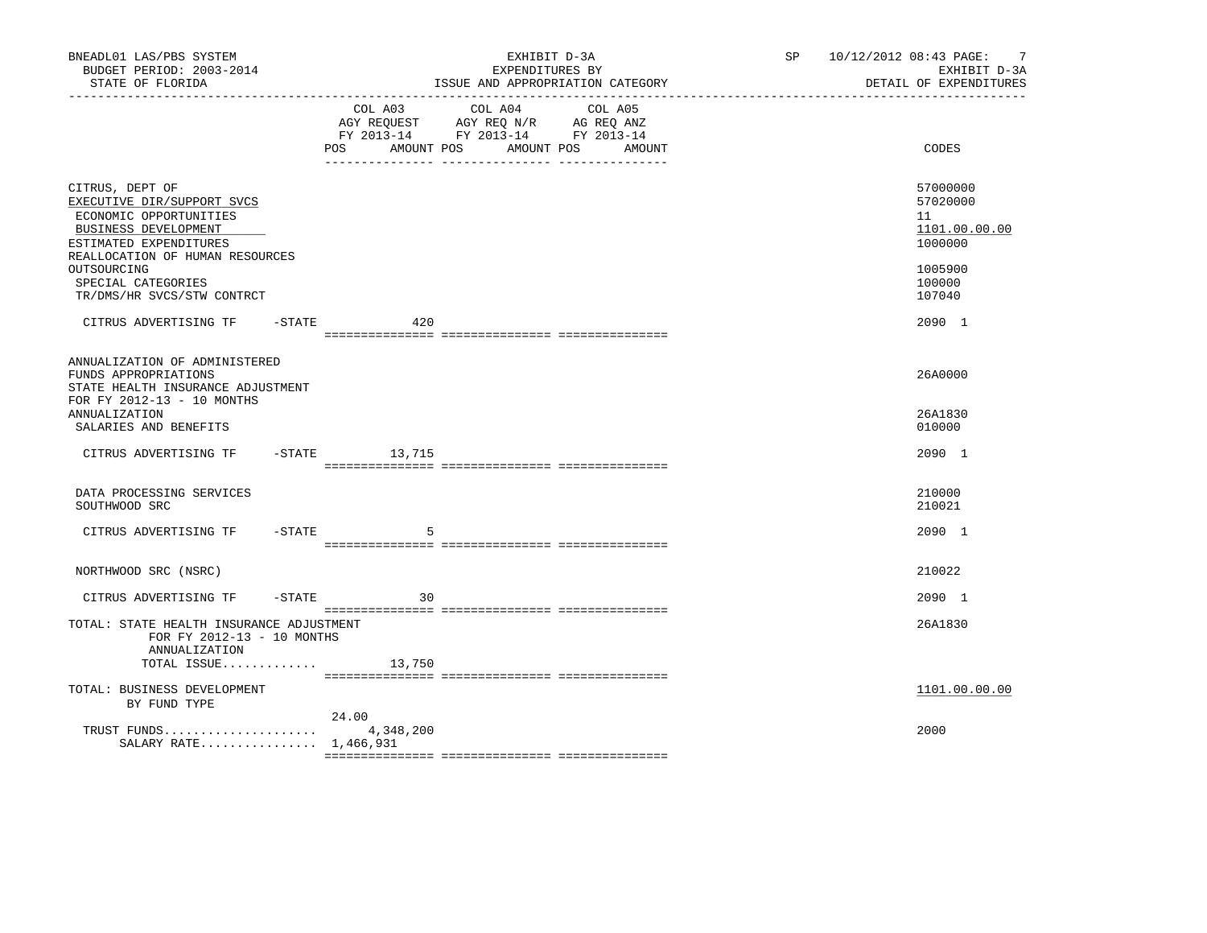| BNEADL01 LAS/PBS SYSTEM<br>BUDGET PERIOD: 2003-2014<br>STATE OF FLORIDA                                                                                      | EXHIBIT D-3A<br>EXPENDITURES BY<br>ISSUE AND APPROPRIATION CATEGORY                                                                 |                   | SP 10/12/2012 08:43 PAGE: 7<br>EXHIBIT D-3A<br>DETAIL OF EXPENDITURES |
|--------------------------------------------------------------------------------------------------------------------------------------------------------------|-------------------------------------------------------------------------------------------------------------------------------------|-------------------|-----------------------------------------------------------------------|
|                                                                                                                                                              | COL A03<br>COL A04<br>AGY REQUEST AGY REQ N/R AG REQ ANZ<br>FY 2013-14 FY 2013-14 FY 2013-14<br>POS FOR<br>AMOUNT POS<br>AMOUNT POS | COL A05<br>AMOUNT | CODES                                                                 |
| CITRUS, DEPT OF<br>EXECUTIVE DIR/SUPPORT SVCS<br>ECONOMIC OPPORTUNITIES<br>BUSINESS DEVELOPMENT<br>ESTIMATED EXPENDITURES<br>REALLOCATION OF HUMAN RESOURCES |                                                                                                                                     |                   | 57000000<br>57020000<br>11<br>1101.00.00.00<br>1000000                |
| OUTSOURCING<br>SPECIAL CATEGORIES<br>TR/DMS/HR SVCS/STW CONTRCT                                                                                              |                                                                                                                                     |                   | 1005900<br>100000<br>107040                                           |
| CITRUS ADVERTISING TF - STATE 420                                                                                                                            |                                                                                                                                     |                   | 2090 1                                                                |
| ANNUALIZATION OF ADMINISTERED<br>FUNDS APPROPRIATIONS<br>STATE HEALTH INSURANCE ADJUSTMENT<br>FOR FY 2012-13 - 10 MONTHS<br>ANNUALIZATION                    |                                                                                                                                     |                   | 26A0000<br>26A1830                                                    |
| SALARIES AND BENEFITS<br>CITRUS ADVERTISING TF - STATE 13,715                                                                                                |                                                                                                                                     |                   | 010000<br>2090 1                                                      |
|                                                                                                                                                              |                                                                                                                                     |                   |                                                                       |
| DATA PROCESSING SERVICES<br>SOUTHWOOD SRC                                                                                                                    |                                                                                                                                     |                   | 210000<br>210021                                                      |
| CITRUS ADVERTISING TF - STATE                                                                                                                                | .5                                                                                                                                  |                   | 2090 1                                                                |
| NORTHWOOD SRC (NSRC)                                                                                                                                         |                                                                                                                                     |                   | 210022                                                                |
| CITRUS ADVERTISING TF                                                                                                                                        | $-$ STATE<br>30                                                                                                                     |                   | 2090 1                                                                |
| TOTAL: STATE HEALTH INSURANCE ADJUSTMENT<br>FOR FY 2012-13 - 10 MONTHS<br>ANNUALIZATION                                                                      |                                                                                                                                     |                   | 26A1830                                                               |
| TOTAL ISSUE $13,750$                                                                                                                                         |                                                                                                                                     |                   |                                                                       |
| TOTAL: BUSINESS DEVELOPMENT<br>BY FUND TYPE                                                                                                                  |                                                                                                                                     |                   | 1101.00.00.00                                                         |
| TRUST FUNDS $4,348,200$<br>SALARY RATE 1,466,931                                                                                                             | 24.00                                                                                                                               |                   | 2000                                                                  |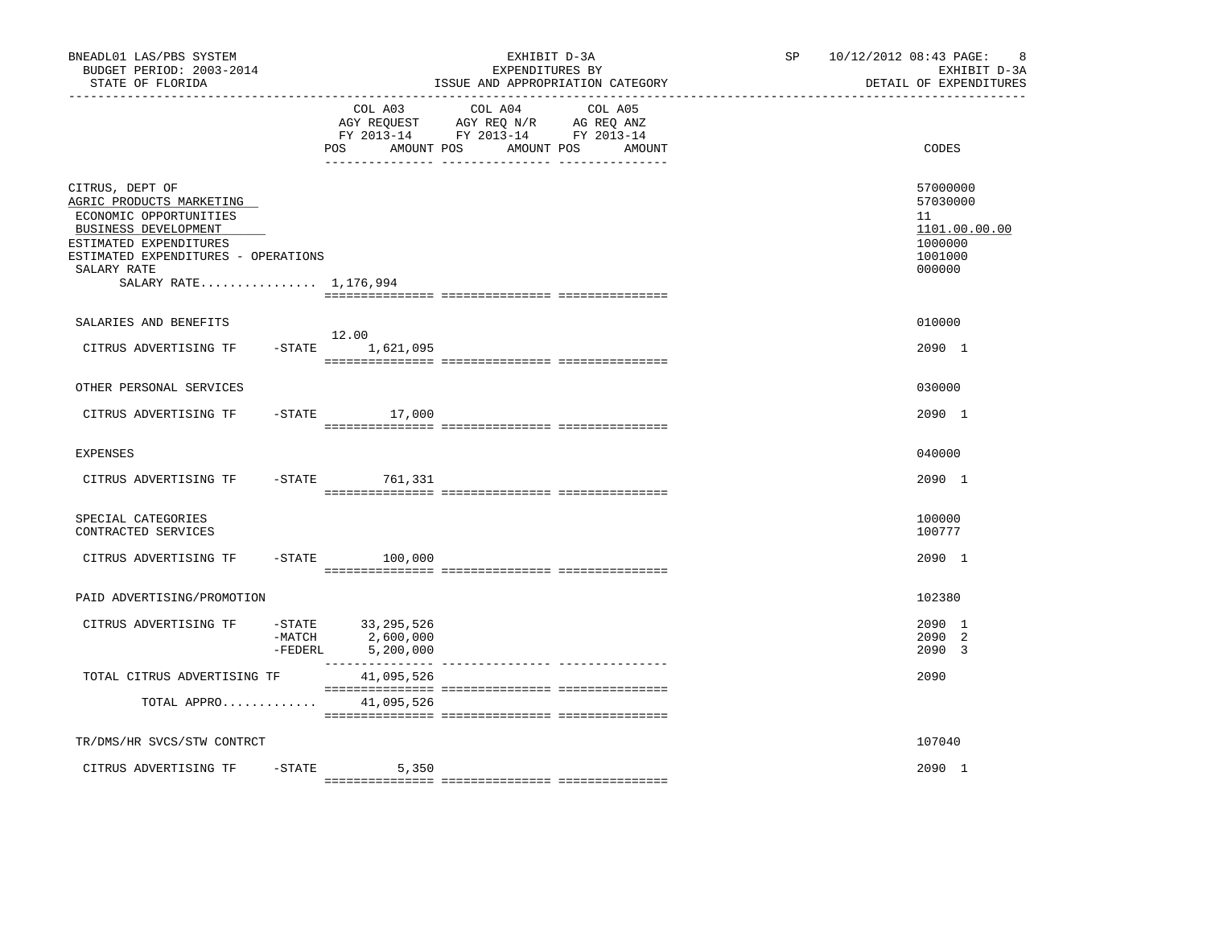| BNEADL01 LAS/PBS SYSTEM<br>BUDGET PERIOD: 2003-2014<br>STATE OF FLORIDA                                                                                                                                |                     | _________________________________             | EXHIBIT D-3A<br>EXPENDITURES BY<br>ISSUE AND APPROPRIATION CATEGORY<br>_____________________________              | SP 10/12/2012 08:43 PAGE:<br>8<br>EXHIBIT D-3A<br>DETAIL OF EXPENDITURES    |
|--------------------------------------------------------------------------------------------------------------------------------------------------------------------------------------------------------|---------------------|-----------------------------------------------|-------------------------------------------------------------------------------------------------------------------|-----------------------------------------------------------------------------|
|                                                                                                                                                                                                        |                     | COL A03<br>POS<br>AMOUNT POS                  | COL A04<br>COL A05<br>AGY REQUEST AGY REQ N/R AG REQ ANZ<br>FY 2013-14 FY 2013-14 FY 2013-14<br>AMOUNT POS AMOUNT | CODES                                                                       |
| CITRUS, DEPT OF<br>AGRIC PRODUCTS MARKETING<br>ECONOMIC OPPORTUNITIES<br>BUSINESS DEVELOPMENT<br>ESTIMATED EXPENDITURES<br>ESTIMATED EXPENDITURES - OPERATIONS<br>SALARY RATE<br>SALARY RATE 1,176,994 |                     |                                               |                                                                                                                   | 57000000<br>57030000<br>11<br>1101.00.00.00<br>1000000<br>1001000<br>000000 |
| SALARIES AND BENEFITS                                                                                                                                                                                  |                     | 12.00                                         |                                                                                                                   | 010000                                                                      |
| CITRUS ADVERTISING TF                                                                                                                                                                                  | $-STATE$            | 1,621,095                                     |                                                                                                                   | 2090 1                                                                      |
| OTHER PERSONAL SERVICES                                                                                                                                                                                |                     |                                               |                                                                                                                   | 030000                                                                      |
| CITRUS ADVERTISING TF                                                                                                                                                                                  | $-STATE$            | 17,000                                        |                                                                                                                   | 2090 1                                                                      |
| <b>EXPENSES</b>                                                                                                                                                                                        |                     |                                               |                                                                                                                   | 040000                                                                      |
| CITRUS ADVERTISING TF                                                                                                                                                                                  | $-$ STATE           | 761,331                                       |                                                                                                                   | 2090 1                                                                      |
| SPECIAL CATEGORIES<br>CONTRACTED SERVICES                                                                                                                                                              |                     |                                               |                                                                                                                   | 100000<br>100777                                                            |
| CITRUS ADVERTISING TF                                                                                                                                                                                  | $-$ STATE           | 100,000                                       |                                                                                                                   | 2090 1                                                                      |
| PAID ADVERTISING/PROMOTION                                                                                                                                                                             |                     |                                               |                                                                                                                   | 102380                                                                      |
| CITRUS ADVERTISING TF                                                                                                                                                                                  | $-MATCH$<br>-FEDERL | -STATE 33, 295, 526<br>2,600,000<br>5,200,000 |                                                                                                                   | 2090 1<br>2090 2<br>2090 3                                                  |
| TOTAL CITRUS ADVERTISING TF                                                                                                                                                                            |                     | 41,095,526                                    |                                                                                                                   | 2090                                                                        |
| TOTAL APPRO 41,095,526                                                                                                                                                                                 |                     |                                               |                                                                                                                   |                                                                             |
| TR/DMS/HR SVCS/STW CONTRCT                                                                                                                                                                             |                     |                                               |                                                                                                                   | 107040                                                                      |
| CITRUS ADVERTISING TF                                                                                                                                                                                  | -STATE              | 5,350                                         |                                                                                                                   | 2090 1                                                                      |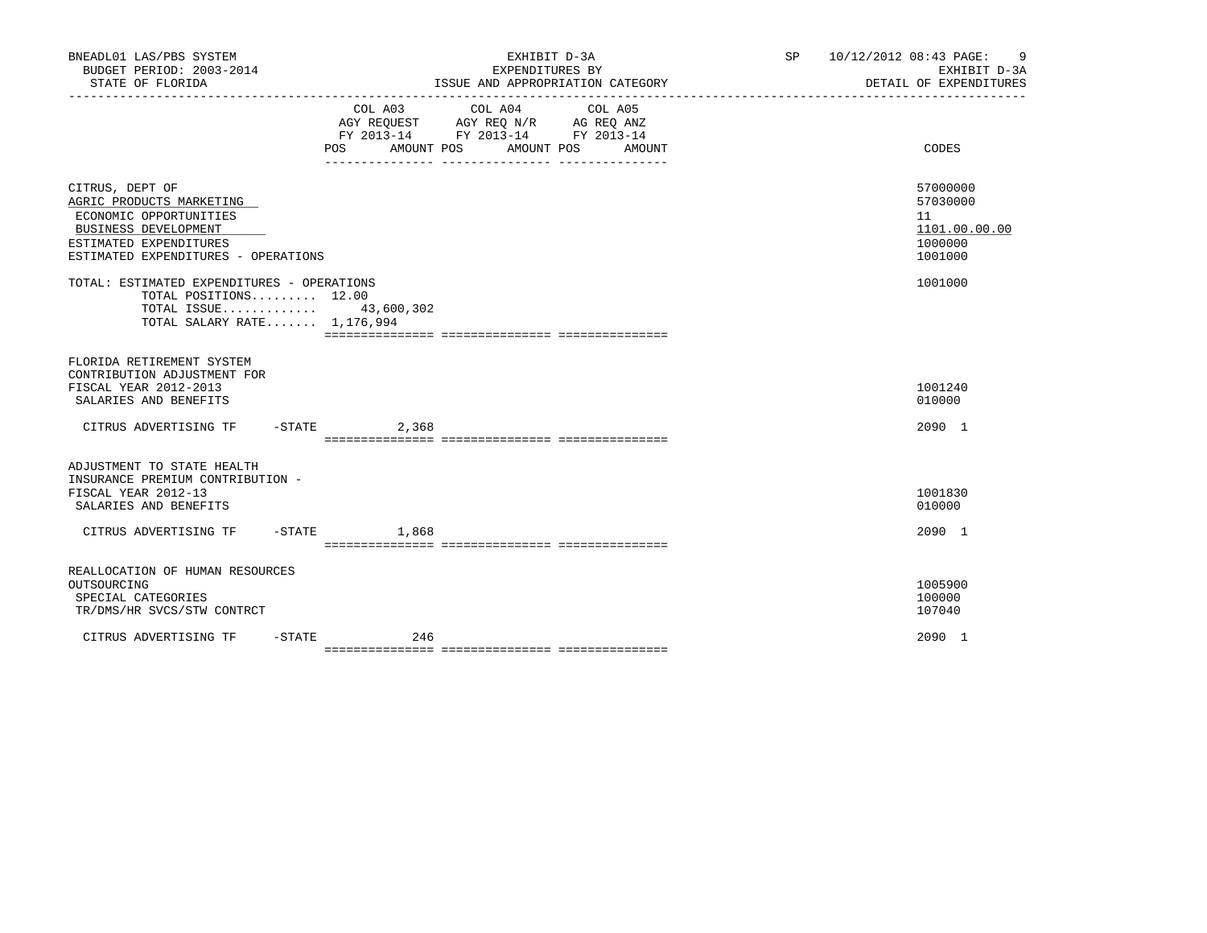| BNEADL01 LAS/PBS SYSTEM<br>BUDGET PERIOD: 2003-2014<br>STATE OF FLORIDA                                                                                        |                   | EXHIBIT D-3A<br>EXPENDITURES BY<br>ISSUE AND APPROPRIATION CATEGORY                                                                  | SP 10/12/2012 08:43 PAGE: 9<br>EXHIBIT D-3A<br>DETAIL OF EXPENDITURES |
|----------------------------------------------------------------------------------------------------------------------------------------------------------------|-------------------|--------------------------------------------------------------------------------------------------------------------------------------|-----------------------------------------------------------------------|
|                                                                                                                                                                | POS               | COL A03 COL A04 COL A05<br>AGY REQUEST AGY REQ N/R AG REQ ANZ<br>FY 2013-14 FY 2013-14 FY 2013-14<br>AMOUNT POS AMOUNT POS<br>AMOUNT | CODES                                                                 |
| CITRUS, DEPT OF<br>AGRIC PRODUCTS MARKETING<br>ECONOMIC OPPORTUNITIES<br>BUSINESS DEVELOPMENT<br>ESTIMATED EXPENDITURES<br>ESTIMATED EXPENDITURES - OPERATIONS |                   |                                                                                                                                      | 57000000<br>57030000<br>11<br>1101.00.00.00<br>1000000<br>1001000     |
| TOTAL: ESTIMATED EXPENDITURES - OPERATIONS<br>TOTAL POSITIONS $12.00$<br>TOTAL ISSUE 43,600,302<br>TOTAL SALARY RATE 1,176,994                                 |                   |                                                                                                                                      | 1001000                                                               |
| FLORIDA RETIREMENT SYSTEM<br>CONTRIBUTION ADJUSTMENT FOR<br>FISCAL YEAR 2012-2013<br>SALARIES AND BENEFITS                                                     |                   |                                                                                                                                      | 1001240<br>010000                                                     |
| CITRUS ADVERTISING TF - STATE 2,368                                                                                                                            |                   |                                                                                                                                      | 2090 1                                                                |
| ADJUSTMENT TO STATE HEALTH<br>INSURANCE PREMIUM CONTRIBUTION -<br>FISCAL YEAR 2012-13<br>SALARIES AND BENEFITS                                                 |                   |                                                                                                                                      | 1001830<br>010000                                                     |
| CITRUS ADVERTISING TF                                                                                                                                          | $-$ STATE $1.868$ |                                                                                                                                      | 2090 1                                                                |
| REALLOCATION OF HUMAN RESOURCES<br>OUTSOURCING<br>SPECIAL CATEGORIES<br>TR/DMS/HR SVCS/STW CONTRCT                                                             |                   |                                                                                                                                      | 1005900<br>100000<br>107040                                           |
| $-$ STATE<br>CITRUS ADVERTISING TF                                                                                                                             | 246               |                                                                                                                                      | 2090 1                                                                |